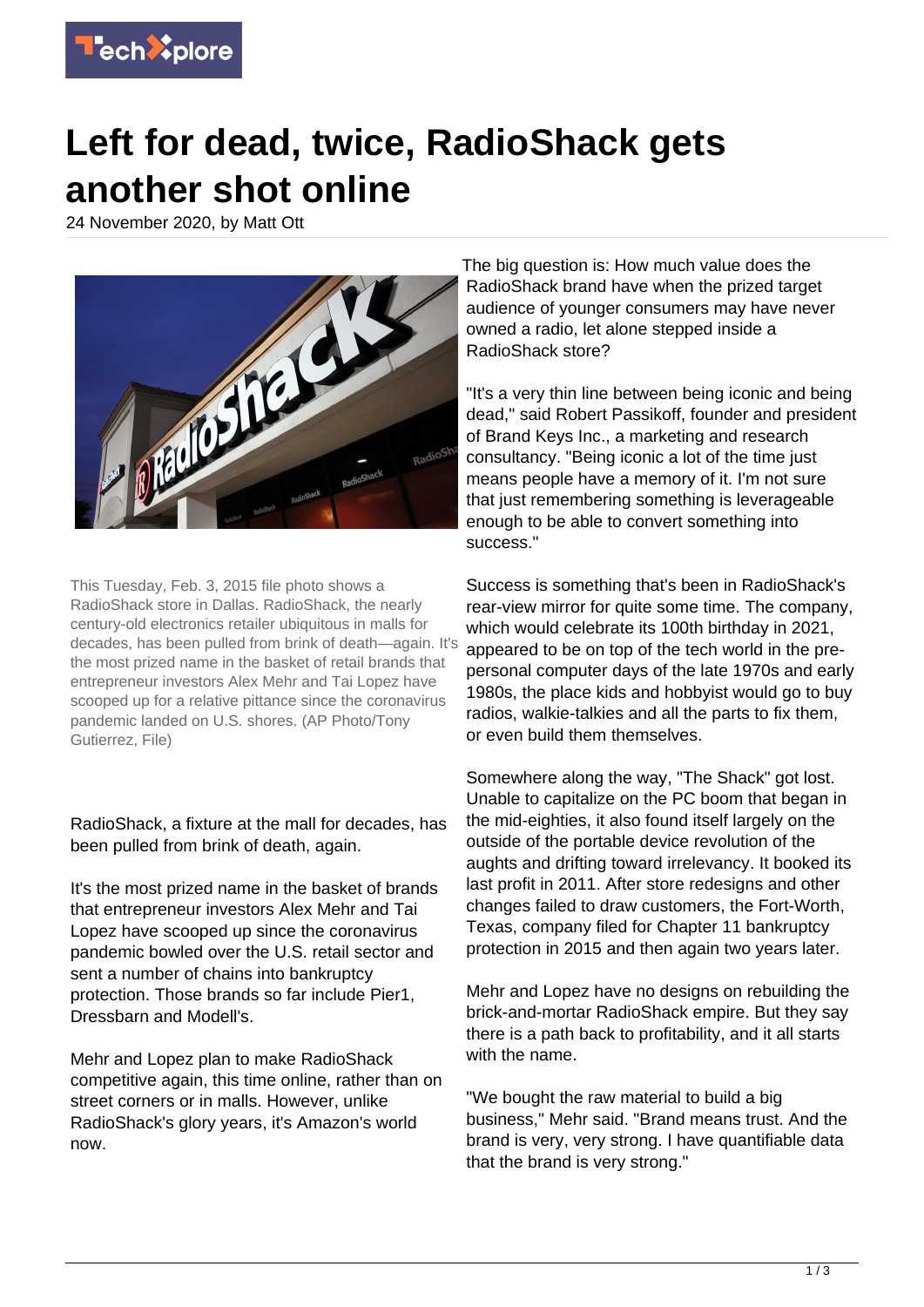

## **Left for dead, twice, RadioShack gets another shot online**

24 November 2020, by Matt Ott



This Tuesday, Feb. 3, 2015 file photo shows a RadioShack store in Dallas. RadioShack, the nearly century-old electronics retailer ubiquitous in malls for decades, has been pulled from brink of death—again. It's the most prized name in the basket of retail brands that entrepreneur investors Alex Mehr and Tai Lopez have scooped up for a relative pittance since the coronavirus pandemic landed on U.S. shores. (AP Photo/Tony Gutierrez, File)

RadioShack, a fixture at the mall for decades, has been pulled from brink of death, again.

It's the most prized name in the basket of brands that entrepreneur investors Alex Mehr and Tai Lopez have scooped up since the coronavirus pandemic bowled over the U.S. retail sector and sent a number of chains into bankruptcy protection. Those brands so far include Pier1, Dressbarn and Modell's.

Mehr and Lopez plan to make RadioShack competitive again, this time online, rather than on street corners or in malls. However, unlike RadioShack's glory years, it's Amazon's world now.

The big question is: How much value does the RadioShack brand have when the prized target audience of younger consumers may have never owned a radio, let alone stepped inside a RadioShack store?

"It's a very thin line between being iconic and being dead," said Robert Passikoff, founder and president of Brand Keys Inc., a marketing and research consultancy. "Being iconic a lot of the time just means people have a memory of it. I'm not sure that just remembering something is leverageable enough to be able to convert something into success."

Success is something that's been in RadioShack's rear-view mirror for quite some time. The company, which would celebrate its 100th birthday in 2021, appeared to be on top of the tech world in the prepersonal computer days of the late 1970s and early 1980s, the place kids and hobbyist would go to buy radios, walkie-talkies and all the parts to fix them, or even build them themselves.

Somewhere along the way, "The Shack" got lost. Unable to capitalize on the PC boom that began in the mid-eighties, it also found itself largely on the outside of the portable device revolution of the aughts and drifting toward irrelevancy. It booked its last profit in 2011. After store redesigns and other changes failed to draw customers, the Fort-Worth, Texas, company filed for Chapter 11 bankruptcy protection in 2015 and then again two years later.

Mehr and Lopez have no designs on rebuilding the brick-and-mortar RadioShack empire. But they say there is a path back to profitability, and it all starts with the name.

"We bought the raw material to build a big business," Mehr said. "Brand means trust. And the brand is very, very strong. I have quantifiable data that the brand is very strong."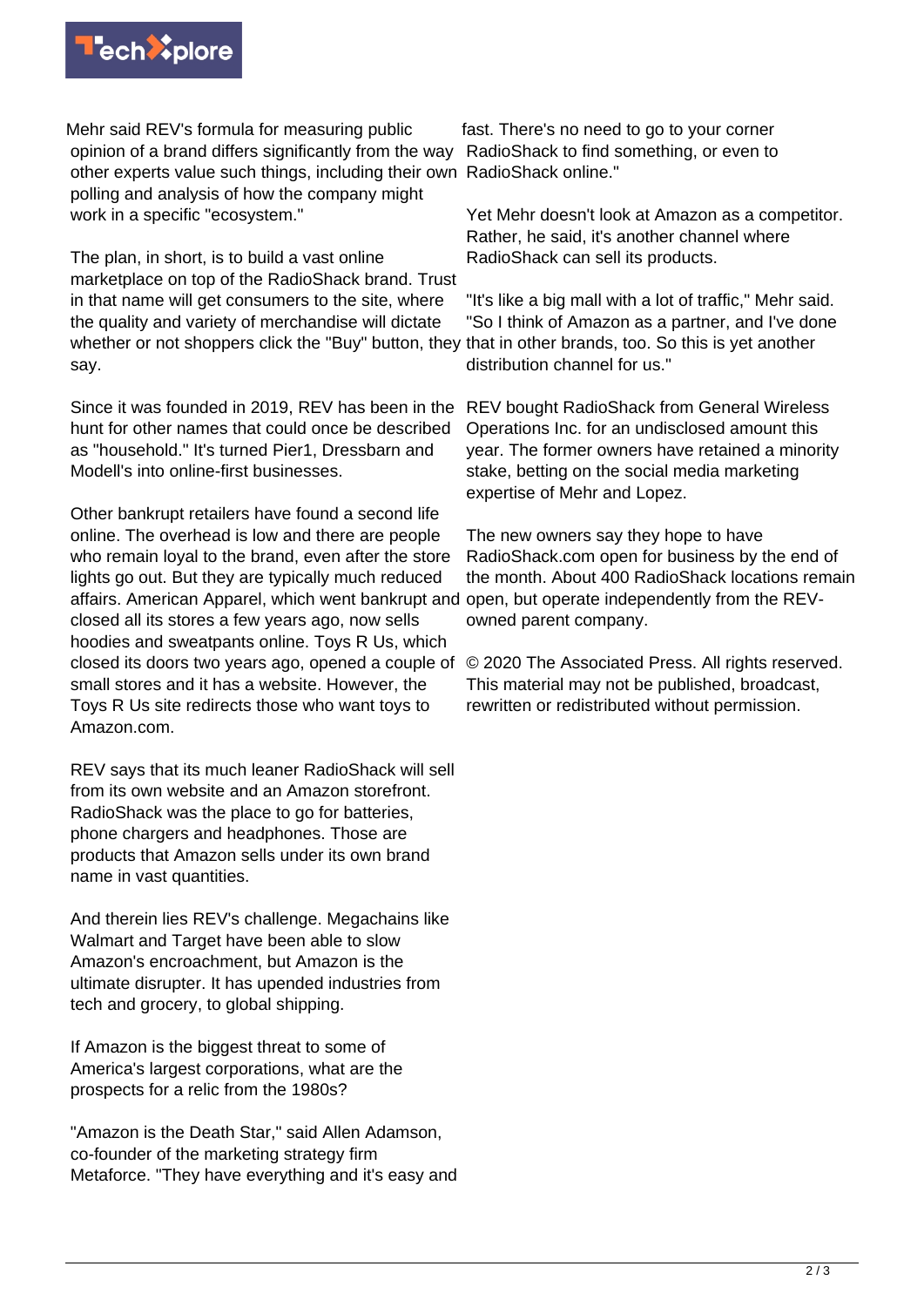

Mehr said REV's formula for measuring public opinion of a brand differs significantly from the way other experts value such things, including their own RadioShack online." polling and analysis of how the company might work in a specific "ecosystem."

The plan, in short, is to build a vast online marketplace on top of the RadioShack brand. Trust in that name will get consumers to the site, where the quality and variety of merchandise will dictate whether or not shoppers click the "Buy" button, they that in other brands, too. So this is yet another say.

Since it was founded in 2019, REV has been in the REV bought RadioShack from General Wireless hunt for other names that could once be described as "household." It's turned Pier1, Dressbarn and Modell's into online-first businesses.

Other bankrupt retailers have found a second life online. The overhead is low and there are people who remain loyal to the brand, even after the store lights go out. But they are typically much reduced affairs. American Apparel, which went bankrupt and open, but operate independently from the REVclosed all its stores a few years ago, now sells hoodies and sweatpants online. Toys R Us, which closed its doors two years ago, opened a couple of small stores and it has a website. However, the Toys R Us site redirects those who want toys to Amazon.com.

REV says that its much leaner RadioShack will sell from its own website and an Amazon storefront. RadioShack was the place to go for batteries. phone chargers and headphones. Those are products that Amazon sells under its own brand name in vast quantities.

And therein lies REV's challenge. Megachains like Walmart and Target have been able to slow Amazon's encroachment, but Amazon is the ultimate disrupter. It has upended industries from tech and grocery, to global shipping.

If Amazon is the biggest threat to some of America's largest corporations, what are the prospects for a relic from the 1980s?

"Amazon is the Death Star," said Allen Adamson, co-founder of the marketing strategy firm Metaforce. "They have everything and it's easy and

fast. There's no need to go to your corner RadioShack to find something, or even to

Yet Mehr doesn't look at Amazon as a competitor. Rather, he said, it's another channel where RadioShack can sell its products.

"It's like a big mall with a lot of traffic," Mehr said. "So I think of Amazon as a partner, and I've done distribution channel for us."

Operations Inc. for an undisclosed amount this year. The former owners have retained a minority stake, betting on the social media marketing expertise of Mehr and Lopez.

The new owners say they hope to have RadioShack.com open for business by the end of the month. About 400 RadioShack locations remain owned parent company.

© 2020 The Associated Press. All rights reserved. This material may not be published, broadcast, rewritten or redistributed without permission.